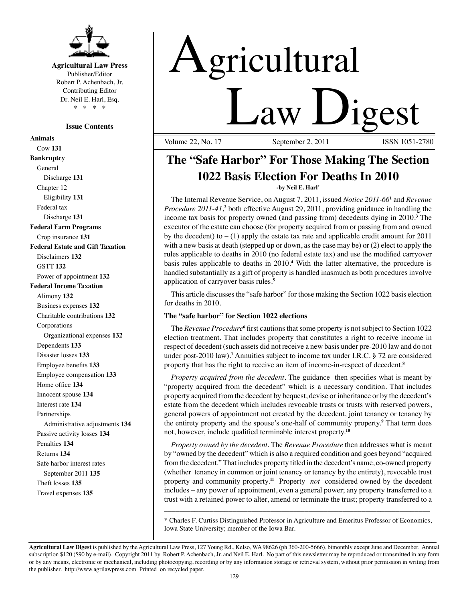

# **Agricultural Law Press** Publisher/Editor

Robert P. Achenbach, Jr. Contributing Editor Dr. Neil E. Harl, Esq. \* \* \* \*

## **Issue Contents**

**Animals** Cow **131 Bankruptcy** General Discharge **131** Chapter 12 Eligibility **131** Federal tax Discharge **131 Federal Farm Programs** Crop insurance **131 Federal Estate and Gift Taxation** Disclaimers **132** GSTT **132** Power of appointment **132 Federal Income Taxation** Alimony **132** Business expenses **132** Charitable contributions **132** Corporations Organizational expenses **132** Dependents **133** Disaster losses **133** Employee benefits **133** Employee compensation **133** Home office **134** Innocent spouse **134** Interest rate **134** Partnerships Administrative adjustments **134** Passive activity losses **134** Penalties **134** Returns **134** Safe harbor interest rates September 2011 **135** Theft losses **135** Travel expenses **135**

# Agricultural **Law Digest**

Volume 22, No. 17

# **The "Safe Harbor" For Those Making The Section 1022 Basis Election For Deaths In 2010 -by Neil E. Harl\***

The Internal Revenue Service, on August 7, 2011, issued *Notice 2011-66***<sup>1</sup>** and *Revenue Procedure 2011-41*,<sup>2</sup> both effective August 29, 2011, providing guidance in handling the income tax basis for property owned (and passing from) decedents dying in 2010.**<sup>3</sup>** The executor of the estate can choose (for property acquired from or passing from and owned by the decedent) to  $- (1)$  apply the estate tax rate and applicable credit amount for 2011 with a new basis at death (stepped up or down, as the case may be) or (2) elect to apply the rules applicable to deaths in 2010 (no federal estate tax) and use the modified carryover basis rules applicable to deaths in 2010.**<sup>4</sup>** With the latter alternative, the procedure is handled substantially as a gift of property is handled inasmuch as both procedures involve application of carryover basis rules.**<sup>5</sup>**

This article discusses the "safe harbor" for those making the Section 1022 basis election for deaths in 2010.

# **The "safe harbor" for Section 1022 elections**

The *Revenue Procedure***<sup>6</sup>** first cautions that some property is not subject to Section 1022 election treatment. That includes property that constitutes a right to receive income in respect of decedent (such assets did not receive a new basis under pre-2010 law and do not under post-2010 law).**<sup>7</sup>** Annuities subject to income tax under I.R.C. § 72 are considered property that has the right to receive an item of income-in-respect of decedent.**<sup>8</sup>**

*Property acquired from the decedent*. The guidance then specifies what is meant by "property acquired from the decedent" which is a necessary condition. That includes property acquired from the decedent by bequest, devise or inheritance or by the decedent's estate from the decedent which includes revocable trusts or trusts with reserved powers, general powers of appointment not created by the decedent, joint tenancy or tenancy by the entirety property and the spouse's one-half of community property.**<sup>9</sup>** That term does not, however, include qualified terminable interest property.**<sup>10</sup>**

*Property owned by the decedent.* The *Revenue Procedure* then addresses what is meant by "owned by the decedent" which is also a required condition and goes beyond "acquired from the decedent." That includes property titled in the decedent's name, co-owned property (whether tenancy in common or joint tenancy or tenancy by the entirety), revocable trust property and community property.**<sup>11</sup>** Property *not* considered owned by the decedent includes – any power of appointment, even a general power; any property transferred to a trust with a retained power to alter, amend or terminate the trust; property transferred to a

\_\_\_\_\_\_\_\_\_\_\_\_\_\_\_\_\_\_\_\_\_\_\_\_\_\_\_\_\_\_\_\_\_\_\_\_\_\_\_\_\_\_\_\_\_\_\_\_\_\_\_\_\_\_\_\_\_\_\_\_\_\_\_\_\_\_\_\_\_\_ \* Charles F. Curtiss Distinguished Professor in Agriculture and Emeritus Professor of Economics, Iowa State University; member of the Iowa Bar.

**Agricultural Law Digest** is published by the Agricultural Law Press, 127 Young Rd., Kelso, WA 98626 (ph 360-200-5666), bimonthly except June and December. Annual subscription \$120 (\$90 by e-mail). Copyright 2011 by Robert P. Achenbach, Jr. and Neil E. Harl. No part of this newsletter may be reproduced or transmitted in any form or by any means, electronic or mechanical, including photocopying, recording or by any information storage or retrieval system, without prior permission in writing from the publisher. http://www.agrilawpress.com Printed on recycled paper.